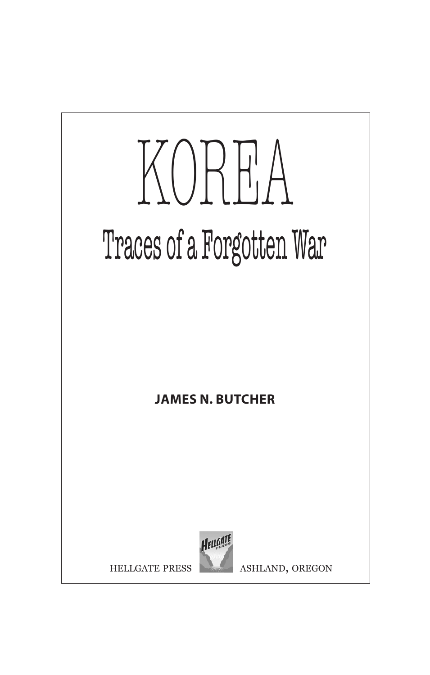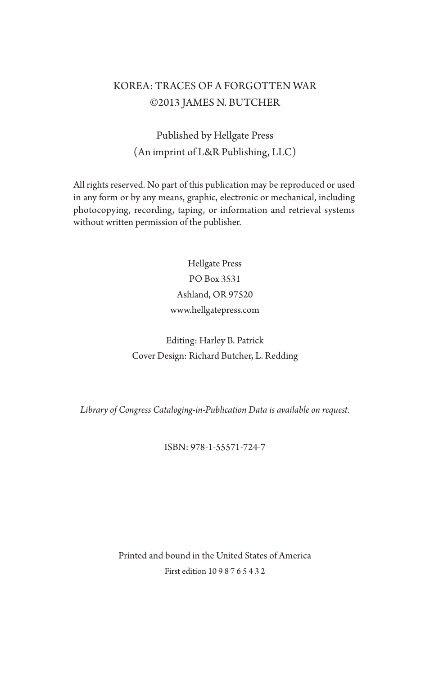### KOREA: TRACES OF A FORGOTTEN WAR ©2013 JAMES N. BUTCHER

### Published by Hellgate Press (An imprint of L&R Publishing, LLC)

All rights reserved. No part of this publication may be reproduced or used in any form or by any means, graphic, electronic or mechanical, including photocopying, recording, taping, or information and retrieval systems without written permission of the publisher.

> Hellgate Press PO Box 3531 Ashland, OR 97520 www.hellgatepress.com

### Editing: Harley B. Patrick Cover Design: Richard Butcher, L. Redding

*Library of Congress Cataloging-in-Publication Data is available on request.*

ISBN: 978-1-55571-724-7

Printed and bound in the United States of America First edition 10 9 8 7 6 5 4 3 2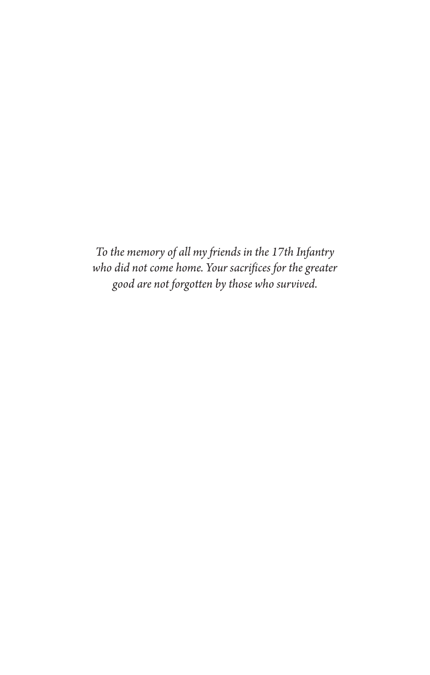*To the memory of all myfriends in the 17th Infantry who did not come home. Your sacrifices for thegreater good are not forgotten bythose who survived.*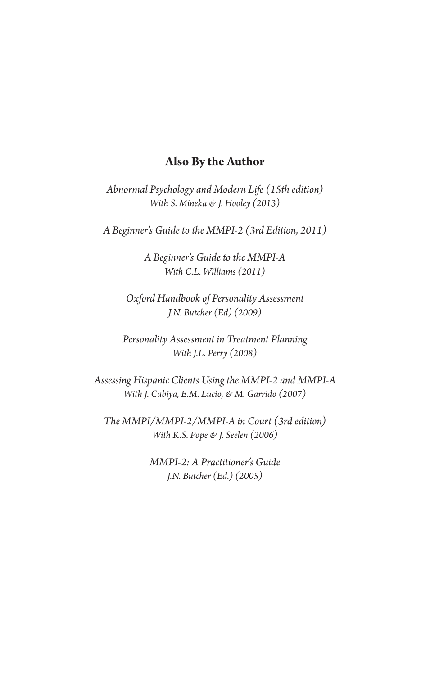### **Also By the Author**

*Abnormal Psychology and Modern Life(15th edition) With S. Mineka & J. Hooley(2013)*

*A Beginner's Guide to the MMPI-2 (3rd Edition, 2011)*

*A Beginner's Guide to the MMPI-A With C.L. Williams(2011)*

*Oxford Handbook of Personality Assessment J.N. Butcher(Ed)(2009)*

*Personality Assessment in Treatment Planning With J.L. Perry(2008)*

*Assessing Hispanic Clients Usingthe MMPI-2 and MMPI-A With J. Cabiya, E.M. Lucio, & M. Garrido (2007)*

*The MMPI/MMPI-2/MMPI-A in Court(3rd edition) With K.S. Pope & J. Seelen (2006)*

> *MMPI-2: A Practitioner's Guide J.N. Butcher(Ed.)(2005)*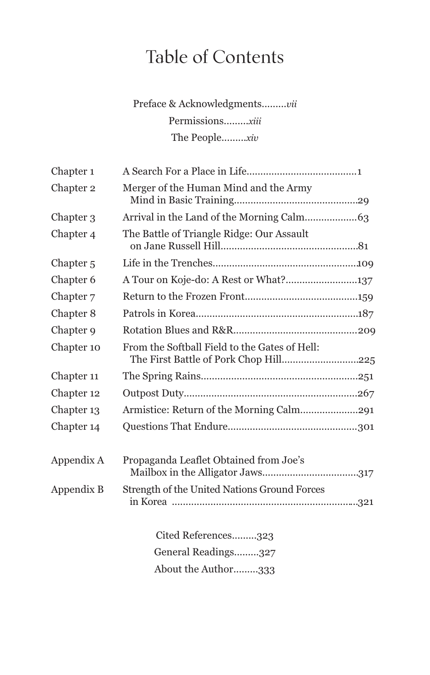# Table of Contents

| Preface & Acknowledgmentsvii |  |
|------------------------------|--|
| Permissions <i>xiii</i>      |  |
| The Peoplexiv                |  |

| Chapter 1            |                                                                                        |  |
|----------------------|----------------------------------------------------------------------------------------|--|
| Chapter 2            | Merger of the Human Mind and the Army                                                  |  |
| Chapter 3            |                                                                                        |  |
| Chapter 4            | The Battle of Triangle Ridge: Our Assault                                              |  |
| Chapter <sub>5</sub> |                                                                                        |  |
| Chapter 6            |                                                                                        |  |
| Chapter 7            |                                                                                        |  |
| Chapter 8            |                                                                                        |  |
| Chapter 9            |                                                                                        |  |
| Chapter 10           | From the Softball Field to the Gates of Hell:<br>The First Battle of Pork Chop Hill225 |  |
| Chapter 11           |                                                                                        |  |
| Chapter 12           |                                                                                        |  |
| Chapter 13           | Armistice: Return of the Morning Calm291                                               |  |
| Chapter 14           |                                                                                        |  |
| Appendix A           | Propaganda Leaflet Obtained from Joe's                                                 |  |
| Appendix B           | Strength of the United Nations Ground Forces                                           |  |
|                      | Cited References323                                                                    |  |
|                      | General Readings327                                                                    |  |

About the Author.........333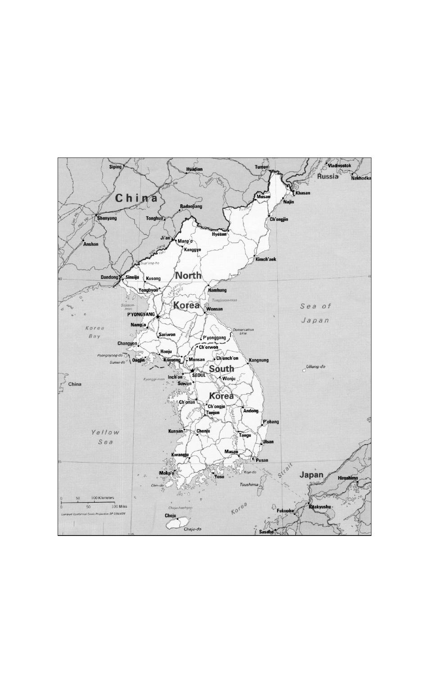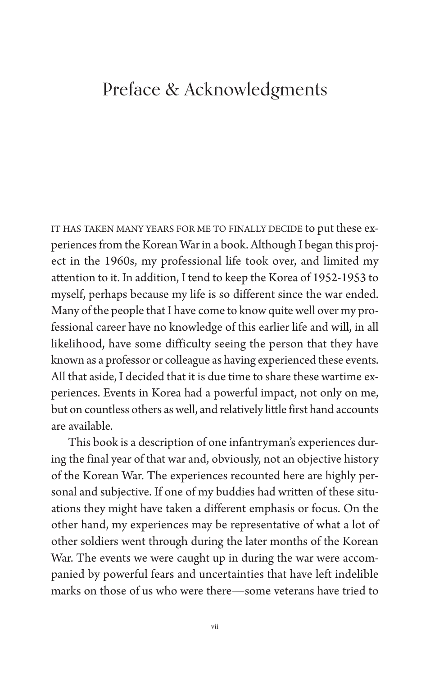## Preface & Acknowledgments

IT HAS TAKEN MANY YEARS FOR ME TO FINALLY DECIDE to put these experiences from the Korean War in a book. Although I began this project in the 1960s, my professional life took over, and limited my attention to it. In addition, I tend to keep the Korea of 1952-1953 to myself, perhaps because my life is so different since the war ended. Many of the people that I have come to know quite well over my professional career have no knowledge of this earlier life and will, in all likelihood, have some difficulty seeing the person that they have known as a professor or colleague as having experienced these events. All that aside, I decided that it is due time to share these wartime experiences. Events in Korea had a powerful impact, not only on me, but on countless others aswell, and relatively little first hand accounts are available.

This book is a description of one infantryman's experiences during the final year of that war and, obviously, not an objective history of the Korean War. The experiences recounted here are highly personal and subjective. If one of my buddies had written of these situations they might have taken a different emphasis or focus. On the other hand, my experiences may be representative of what a lot of other soldiers went through during the later months of the Korean War. The events we were caught up in during the war were accompanied by powerful fears and uncertainties that have left indelible marks on those of us who were there—some veterans have tried to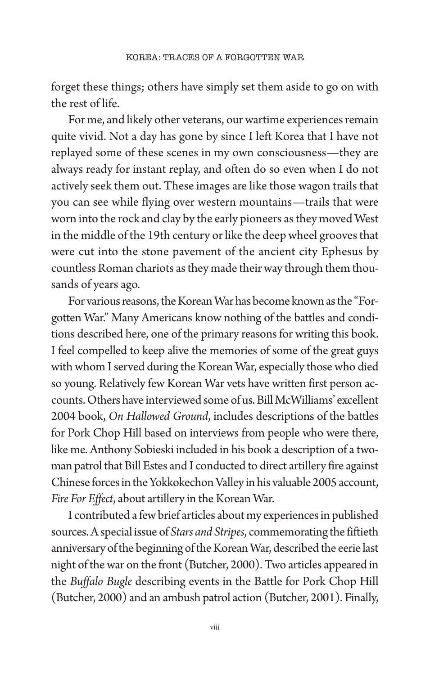forget these things; others have simply set them aside to go on with the rest of life.

For me, and likely other veterans, our wartime experiences remain quite vivid. Not a day has gone by since I left Korea that I have not replayed some of these scenes in my own consciousness—they are always ready for instant replay, and often do so even when I do not actively seek them out. These images are like those wagon trails that you can see while flying over western mountains—trails that were worn into the rock and clay by the early pioneers asthey moved West in the middle of the 19th century or like the deep wheel grooves that were cut into the stone pavement of the ancient city Ephesus by countless Roman chariots as they made their way through them thousands of years ago.

For various reasons, the Korean War has become known as the "Forgotten War." Many Americans know nothing of the battles and conditions described here, one of the primary reasons for writing this book. I feel compelled to keep alive the memories of some of the great guys with whom I served during the Korean War, especially those who died so young. Relatively few Korean War vets have written first person accounts. Others have interviewed some of us. Bill McWilliams' excellent 2004 book, *On Hallowed Ground*, includes descriptions of the battles for Pork Chop Hill based on interviews from people who were there, like me. Anthony Sobieski included in his book a description of a twoman patrol that Bill Estes and I conducted to direct artillery fire against Chinese forces in the Yokkokechon Valley in his valuable 2005 account, Fire For *Effect*, about artillery in the Korean War.

I contributed a few brief articles about my experiences in published sources.Aspecial issue of *Stars and Stripes*, commemorating the fiftieth anniversary of the beginning of the Korean War, described the eerie last night of thewar on the front (Butcher, 2000).Two articles appeared in the *Buffalo Bugle* describing events in the Battle for Pork Chop Hill (Butcher, 2000) and an ambush patrol action (Butcher, 2001). Finally,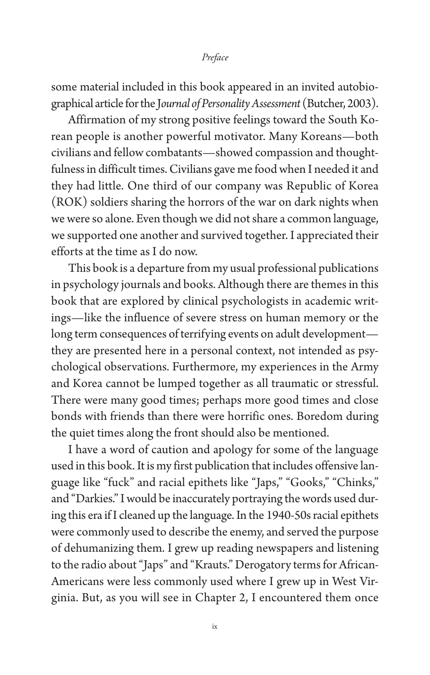#### *Preface*

some material included in this book appeared in an invited autobiographical article for the Journal of Personality Assessment (Butcher, 2003).

Affirmation of my strong positive feelings toward the South Korean people is another powerful motivator. Many Koreans—both civilians and fellow combatants—showed compassion and thoughtfulness in difficult times. Civilians gave me food when I needed it and they had little. One third of our company was Republic of Korea (ROK) soldiers sharing the horrors of the war on dark nights when we were so alone. Even though we did not share a common language, we supported one another and survived together. I appreciated their efforts at the time as I do now.

This book is a departure from my usual professional publications in psychology journals and books. Although there are themes in this book that are explored by clinical psychologists in academic writings—like the influence of severe stress on human memory or the long term consequences of terrifying events on adult development they are presented here in a personal context, not intended as psychological observations. Furthermore, my experiences in the Army and Korea cannot be lumped together as all traumatic or stressful. There were many good times; perhaps more good times and close bonds with friends than there were horrific ones. Boredom during the quiet times along the front should also be mentioned.

I have a word of caution and apology for some of the language used in this book. It is my first publication that includes offensive language like "fuck" and racial epithets like "Japs," "Gooks," "Chinks," and "Darkies." I would be inaccurately portraying the words used during this era if I cleaned up the language. In the 1940-50s racial epithets were commonly used to describe the enemy, and served the purpose of dehumanizing them. I grew up reading newspapers and listening to the radio about "Japs" and "Krauts." Derogatory terms for African-Americans were less commonly used where I grew up in West Virginia. But, as you will see in Chapter 2, I encountered them once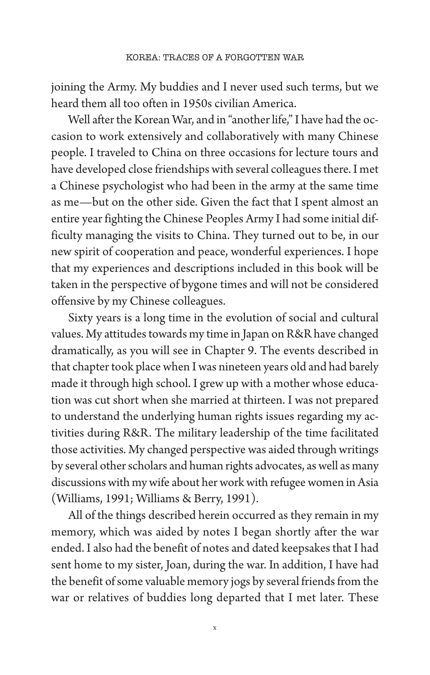joining the Army. My buddies and I never used such terms, but we heard them all too often in 1950s civilian America.

Well after the Korean War, and in "another life," I have had the occasion to work extensively and collaboratively with many Chinese people. I traveled to China on three occasions for lecture tours and have developed close friendships with several colleagues there. I met a Chinese psychologist who had been in the army at the same time as me—but on the other side. Given the fact that I spent almost an entire year fighting the Chinese Peoples Army I had some initial difficulty managing the visits to China. They turned out to be, in our new spirit of cooperation and peace, wonderful experiences. I hope that my experiences and descriptions included in this book will be taken in the perspective of bygone times and will not be considered offensive by my Chinese colleagues.

Sixty years is a long time in the evolution of social and cultural values. My attitudes towards my time in Japan on R&R have changed dramatically, as you will see in Chapter 9. The events described in that chapter took place when I was nineteen years old and had barely made it through high school. I grew up with a mother whose education was cut short when she married at thirteen. I was not prepared to understand the underlying human rights issues regarding my activities during R&R. The military leadership of the time facilitated those activities. My changed perspective was aided through writings by several other scholars and human rights advocates, as well as many discussions with my wife about her work with refugee women in Asia (Williams, 1991; Williams & Berry, 1991).

All of the things described herein occurred as they remain in my memory, which was aided by notes I began shortly after the war ended. I also had the benefit of notes and dated keepsakes that I had sent home to my sister, Joan, during the war. In addition, I have had the benefit of some valuable memory jogs by several friends from the war or relatives of buddies long departed that I met later. These

x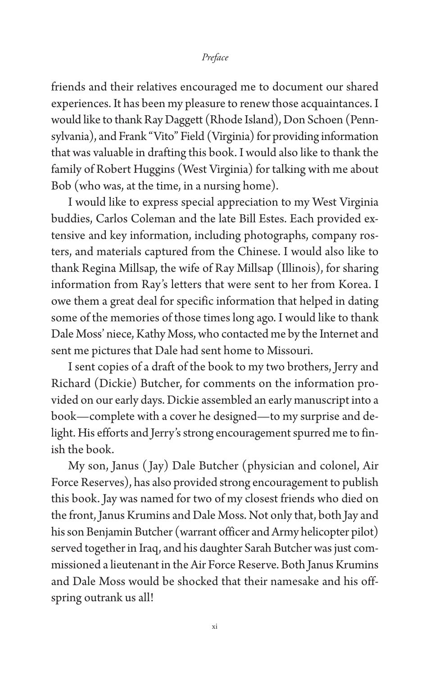### *Preface*

friends and their relatives encouraged me to document our shared experiences. It has been my pleasure to renew those acquaintances. I would like to thank Ray Daggett (Rhode Island), Don Schoen (Pennsylvania), and Frank "Vito" Field (Virginia) for providing information that was valuable in drafting this book. I would also like to thank the family of Robert Huggins (West Virginia) for talking with me about Bob (who was, at the time, in a nursing home).

I would like to express special appreciation to my West Virginia buddies, Carlos Coleman and the late Bill Estes. Each provided extensive and key information, including photographs, company rosters, and materials captured from the Chinese. I would also like to thank Regina Millsap, the wife of Ray Millsap (Illinois), for sharing information from Ray's letters that were sent to her from Korea. I owe them a great deal for specific information that helped in dating some of the memories of those times long ago. I would like to thank Dale Moss' niece, Kathy Moss, who contacted me by the Internet and sent me pictures that Dale had sent home to Missouri.

I sent copies of a draft of the book to my two brothers, Jerry and Richard (Dickie) Butcher, for comments on the information provided on our early days. Dickie assembled an early manuscript into a book—complete with a cover he designed—to my surprise and delight. His efforts and Jerry's strong encouragement spurred me to finish the book.

My son, Janus ( Jay) Dale Butcher (physician and colonel, Air Force Reserves), has also provided strong encouragement to publish this book. Jay was named for two of my closest friends who died on the front, Janus Krumins and Dale Moss. Not only that, both Jay and his son Benjamin Butcher (warrant officer and Army helicopter pilot) served together in Iraq, and his daughter Sarah Butcher was just commissioned a lieutenant in the Air Force Reserve. Both Janus Krumins and Dale Moss would be shocked that their namesake and his offspring outrank us all!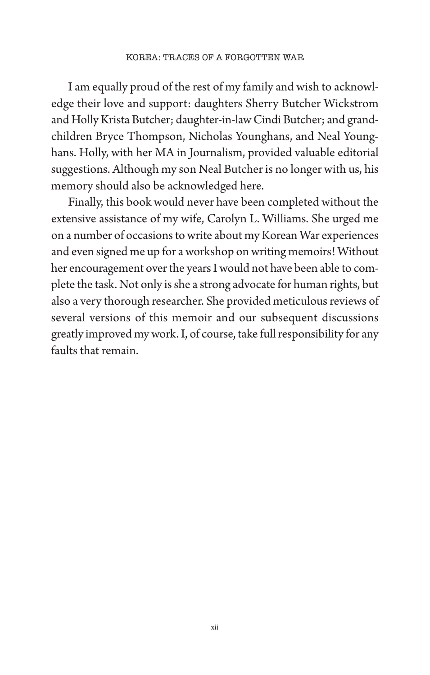#### KOREA: TRACES OF A FORGOTTEN WAR

I am equally proud of the rest of my family and wish to acknowledge their love and support: daughters Sherry Butcher Wickstrom and Holly Krista Butcher; daughter-in-law Cindi Butcher; and grandchildren Bryce Thompson, Nicholas Younghans, and Neal Younghans. Holly, with her MA in Journalism, provided valuable editorial suggestions. Although my son Neal Butcher is no longer with us, his memory should also be acknowledged here.

Finally, this book would never have been completed without the extensive assistance of my wife, Carolyn L. Williams. She urged me on a number of occasions to write about my Korean War experiences and even signed me up for a workshop on writing memoirs! Without her encouragement over the years I would not have been able to complete the task. Not only is she a strong advocate for human rights, but also a very thorough researcher. She provided meticulous reviews of several versions of this memoir and our subsequent discussions greatly improved mywork.I, of course, take fullresponsibility for any faults that remain.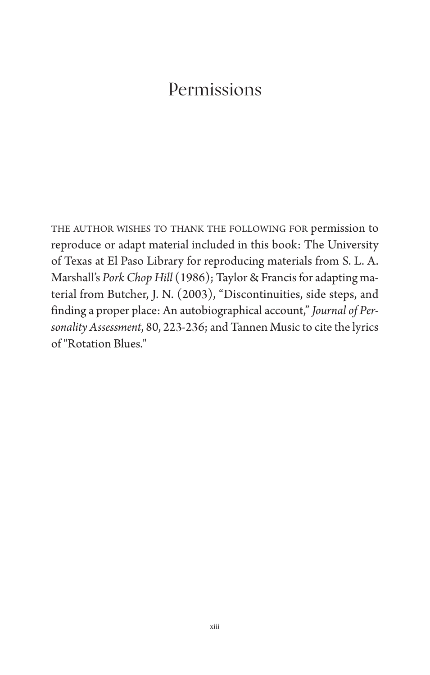# Permissions

THE AUTHOR WISHES TO THANK THE FOLLOWING FOR permission to reproduce or adapt material included in this book: The University of Texas at El Paso Library for reproducing materials from S. L. A. Marshall's *Pork Chop Hill* (1986); Taylor & Francis for adapting material from Butcher, J. N. (2003), "Discontinuities, side steps, and finding a proper place: An autobiographical account," *Journal of Personality Assessment*, 80, 223-236; and Tannen Music to cite the lyrics of "Rotation Blues."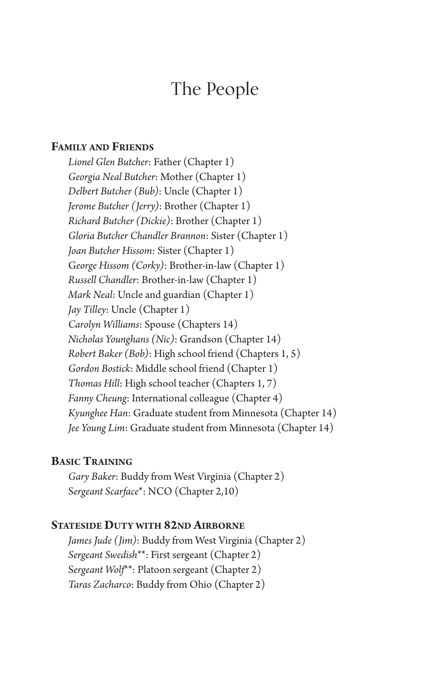# The People

### **FAMILY AND FRIENDS**

*Lionel Glen Butcher*: Father (Chapter 1) *Georgia Neal Butcher*: Mother (Chapter 1) *Delbert Butcher(Bub)*: Uncle (Chapter 1) *Jerome Butcher(Jerry)*: Brother (Chapter 1) *Richard Butcher(Dickie)*: Brother (Chapter 1) *Gloria Butcher Chandler Brannon*: Sister (Chapter 1) *Joan Butcher Hissom*: Sister (Chapter 1) G*eorge Hissom (Corky)*: Brother-in-law (Chapter 1) *Russell Chandler*: Brother-in-law (Chapter 1) *Mark Neal*: Uncle and guardian (Chapter 1) *Jay Tilley*: Uncle (Chapter 1) *Carolyn Williams*: Spouse (Chapters 14) *Nicholas Younghans(Nic)*: Grandson (Chapter 14) *Robert Baker(Bob)*: High school friend (Chapters 1, 5) *Gordon Bostick*: Middle school friend (Chapter 1) *Thomas Hill*: High school teacher (Chapters 1, 7) *Fanny Cheung*: International colleague (Chapter 4) *Kyunghee Han*: Graduate student from Minnesota (Chapter 14) *Jee Young Lim*: Graduate student from Minnesota (Chapter 14)

#### **BASIC TRAINING**

*Gary Baker*: Buddy from West Virginia (Chapter 2) S*ergeant Scarface*\*: NCO (Chapter 2,10)

### **STATESIDE DUTY WITH 82ND AIRBORNE**

*James Jude(Jim)*: Buddy from West Virginia (Chapter 2) *Sergeant Swedish*\*\*: First sergeant (Chapter 2) S*ergeant Wolf*\*\*: Platoon sergeant (Chapter 2) *Taras Zacharco*: Buddy from Ohio (Chapter 2)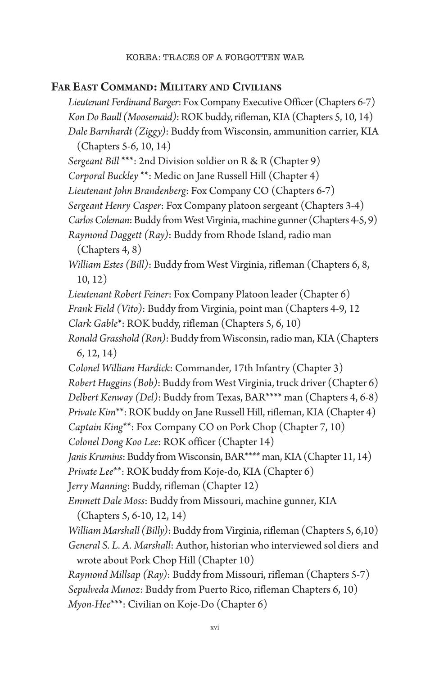### **FAR EAST COMMAND: MILITARY AND CIVILIANS**

*Lieutenant Ferdinand Barger*: FoxCompany Executive Officer (Chapters 6-7) *Kon Do Baull (Moosemaid)*: ROK buddy, rifleman, KIA (Chapters 5, 10, 14) *Dale Barnhardt(Ziggy)*: Buddy from Wisconsin, ammunition carrier, KIA (Chapters 5-6, 10, 14) *Sergeant Bill* \*\*\*: 2nd Division soldier on R & R (Chapter 9) *Corporal Buckley*\*\*: Medic on Jane Russell Hill (Chapter 4) *Lieutenant John Brandenberg*: Fox Company CO (Chapters 6-7) *Sergeant Henry Casper*: Fox Company platoon sergeant (Chapters 3-4) Carlos Coleman: Buddy from West Virginia, machine gunner (Chapters 4-5, 9) *Raymond Daggett(Ray)*: Buddy from Rhode Island, radio man (Chapters 4, 8) *William Estes(Bill)*: Buddy from West Virginia, rifleman (Chapters 6, 8, 10, 12) *Lieutenant Robert Feiner*: Fox Company Platoon leader (Chapter 6) *Frank Field (Vito)*: Buddy from Virginia, point man (Chapters 4-9, 12 *Clark Gable*\*: ROK buddy, rifleman (Chapters 5, 6, 10) *Ronald Grasshold (Ron)*: Buddy from Wisconsin, radio man, KIA (Chapters 6, 12, 14) C*olonel William Hardick*: Commander, 17th Infantry (Chapter 3) *Robert Huggins(Bob)*: Buddy from West Virginia, truck driver (Chapter 6) *Delbert Kenway(Del)*: Buddy from Texas, BAR\*\*\*\* man (Chapters 4, 6-8) *Private Kim*\*\*: ROK buddy on Jane Russell Hill, rifleman, KIA (Chapter 4) *Captain King*\*\*: Fox Company CO on Pork Chop (Chapter 7, 10) *Colonel Dong Koo Lee*: ROK officer (Chapter 14) *Janis Krumins*: Buddy from Wisconsin, BAR<sup>\*\*\*\*</sup> man, KIA (Chapter 11, 14) *Private Lee*\*\*: ROK buddy from Koje-do, KIA (Chapter 6) J*erry Manning*: Buddy, rifleman (Chapter 12) *Emmett Dale Moss*: Buddy from Missouri, machine gunner, KIA (Chapters 5, 6-10, 12, 14) *William Marshall (Billy)*: Buddy from Virginia, rifleman (Chapters 5, 6,10) *General S. L. A. Marshall*: Author, historian who interviewed sol diers and wrote about Pork Chop Hill (Chapter 10) *Raymond Millsap (Ray)*: Buddy from Missouri, rifleman (Chapters 5-7) *Sepulveda Munoz*: Buddy from Puerto Rico, rifleman Chapters 6, 10) *Myon-Hee*\*\*\*: Civilian on Koje-Do (Chapter 6)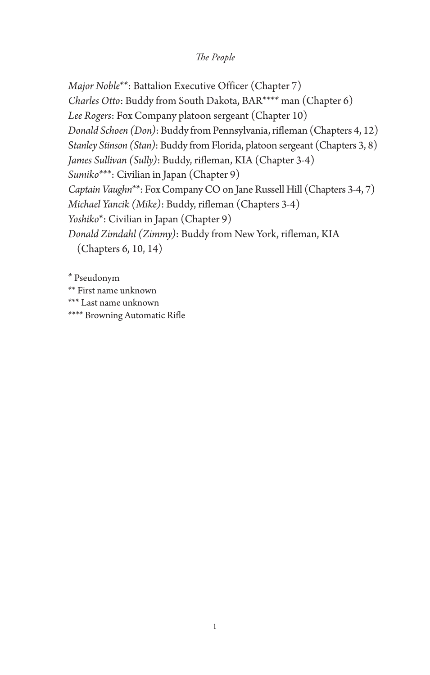### **The People**

*Major Noble*\*\*: Battalion Executive Officer (Chapter 7) *Charles Otto*: Buddy from South Dakota, BAR\*\*\*\* man (Chapter 6) *Lee Rogers*: Fox Company platoon sergeant (Chapter 10) *Donald Schoen* (*Don*): Buddy from Pennsylvania, rifleman (Chapters 4, 12) S*tanley Stinson (Stan)*: Buddy from Florida, platoon sergeant (Chapters 3, 8) *James Sullivan (Sully)*: Buddy, rifleman, KIA (Chapter 3-4) *Sumiko*\*\*\*: Civilian in Japan (Chapter 9) *Captain Vaughn*\*\*: FoxCompanyCO on Jane Russell Hill (Chapters 3-4, 7) *Michael Yancik (Mike)*: Buddy, rifleman (Chapters 3-4) *Yoshiko*\*: Civilian in Japan (Chapter 9) *Donald Zimdahl(Zimmy)*: Buddy from New York, rifleman, KIA (Chapters 6, 10, 14)

\* Pseudonym

- \*\* First name unknown
- \*\*\* Last name unknown

\*\*\*\* Browning Automatic Rifle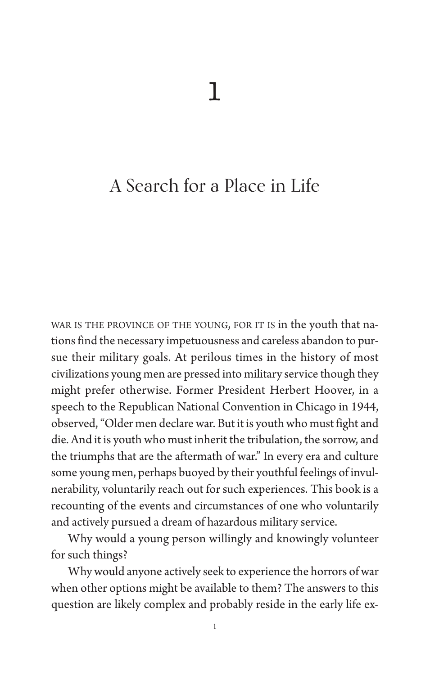# A Search for a Place in Life

WAR IS THE PROVINCE OF THE YOUNG, FOR IT IS in the youth that nations find the necessary impetuousness and careless abandon to pursue their military goals. At perilous times in the history of most civilizations young men are pressed into military service though they might prefer otherwise. Former President Herbert Hoover, in a speech to the Republican National Convention in Chicago in 1944, observed, "Older men declare war. But it is youth who must fight and die. And it is youth who must inherit the tribulation, the sorrow, and the triumphs that are the aftermath of war." In every era and culture some young men, perhaps buoyed by their youthful feelings of invulnerability, voluntarily reach out for such experiences. This book is a recounting of the events and circumstances of one who voluntarily and actively pursued a dream of hazardous military service.

Why would a young person willingly and knowingly volunteer for such things?

Why would anyone actively seek to experience the horrors of war when other options might be available to them? The answers to this question are likely complex and probably reside in the early life ex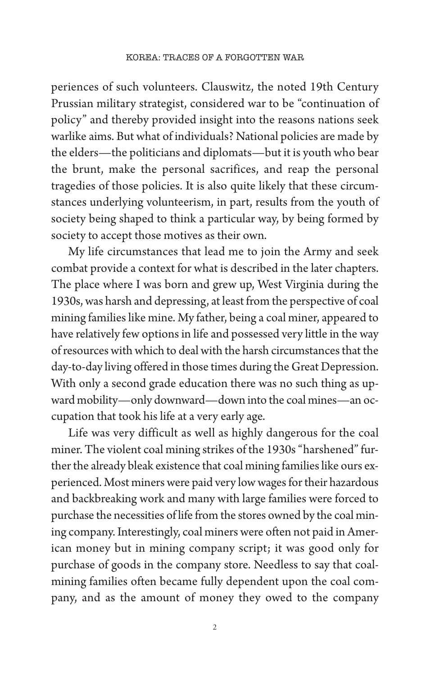periences of such volunteers. Clauswitz, the noted 19th Century Prussian military strategist, considered war to be "continuation of policy" and thereby provided insight into the reasons nations seek warlike aims. But what of individuals? National policies are made by the elders—the politicians and diplomats—but it is youth who bear the brunt, make the personal sacrifices, and reap the personal tragedies of those policies. It is also quite likely that these circumstances underlying volunteerism, in part, results from the youth of society being shaped to think a particular way, by being formed by society to accept those motives as their own.

My life circumstances that lead me to join the Army and seek combat provide a context for what is described in the later chapters. The place where I was born and grew up, West Virginia during the 1930s, was harsh and depressing, at least from the perspective of coal mining families like mine. My father, being a coal miner, appeared to have relatively few options in life and possessed very little in the way of resources with which to deal with the harsh circumstances that the day-to-day living offered in those times during the Great Depression. With only a second grade education there was no such thing as upward mobility—only downward—down into the coal mines—an occupation that took his life at a very early age.

Life was very difficult as well as highly dangerous for the coal miner. The violent coal mining strikes of the 1930s "harshened" further the already bleak existence that coal mining families like ours experienced. Most miners were paid very low wages for their hazardous and backbreaking work and many with large families were forced to purchase the necessities of life from the stores owned by the coal mining company. Interestingly, coal miners were often not paid in American money but in mining company script; it was good only for purchase of goods in the company store. Needless to say that coalmining families often became fully dependent upon the coal company, and as the amount of money they owed to the company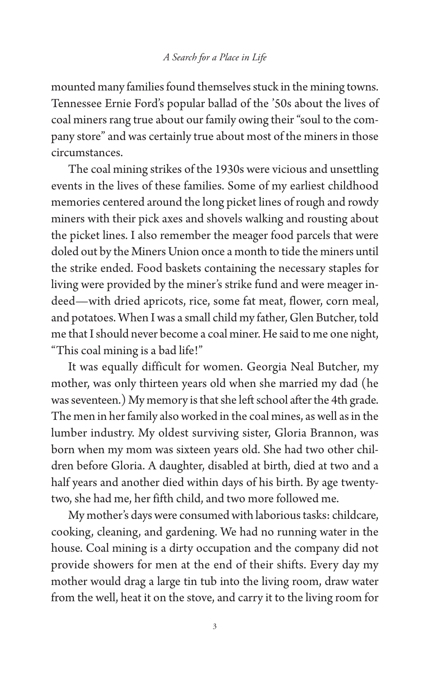mounted many families found themselves stuck in the mining towns. Tennessee Ernie Ford's popular ballad of the '50s about the lives of coal miners rang true about our family owing their"soul to the company store" and was certainly true about most of the miners in those circumstances.

The coal mining strikes of the 1930s were vicious and unsettling events in the lives of these families. Some of my earliest childhood memories centered around the long picket lines of rough and rowdy miners with their pick axes and shovels walking and rousting about the picket lines. I also remember the meager food parcels that were doled out by the Miners Union once a month to tide the miners until the strike ended. Food baskets containing the necessary staples for living were provided by the miner's strike fund and were meager indeed—with dried apricots, rice, some fat meat, flower, corn meal, and potatoes. When I was a small child my father, Glen Butcher, told me that I should never become a coal miner. He said to me one night, "This coal mining is a bad life!"

It was equally difficult for women. Georgia Neal Butcher, my mother, was only thirteen years old when she married my dad (he was seventeen.) My memory is that she left school after the 4th grade. The men in her family also worked in the coal mines, as well as in the lumber industry. My oldest surviving sister, Gloria Brannon, was born when my mom was sixteen years old. She had two other children before Gloria. A daughter, disabled at birth, died at two and a half years and another died within days of his birth. By age twentytwo, she had me, her fifth child, and two more followed me.

My mother's days were consumed with laborious tasks: childcare, cooking, cleaning, and gardening. We had no running water in the house. Coal mining is a dirty occupation and the company did not provide showers for men at the end of their shifts. Every day my mother would drag a large tin tub into the living room, draw water from the well, heat it on the stove, and carry it to the living room for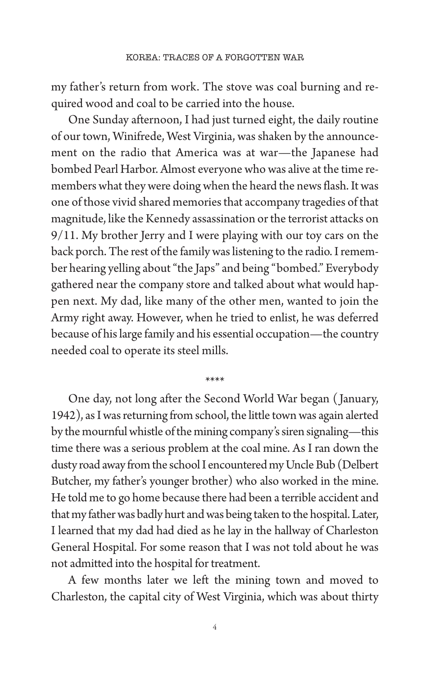my father's return from work. The stove was coal burning and required wood and coal to be carried into the house.

One Sunday afternoon, I had just turned eight, the daily routine of our town, Winifrede, West Virginia, was shaken by the announcement on the radio that America was at war—the Japanese had bombed Pearl Harbor. Almost everyonewhowas alive at the time remembers what they were doing when the heard the news flash. It was one of those vivid shared memoriesthat accompany tragedies of that magnitude, like the Kennedy assassination or the terrorist attacks on 9/11. My brother Jerry and I were playing with our toy cars on the back porch. The rest of the family was listening to the radio. I remember hearing yelling about"the Japs" and being "bombed." Everybody gathered near the company store and talked about what would happen next. My dad, like many of the other men, wanted to join the Army right away. However, when he tried to enlist, he was deferred because of hislarge family and his essential occupation—the country needed coal to operate its steel mills.

\*\*\*\*

One day, not long after the Second World War began ( January, 1942), as I was returning from school, the little town was again alerted by the mournful whistle of the mining company's siren signaling—this time there was a serious problem at the coal mine. As I ran down the dusty road away from the school I encountered my Uncle Bub (Delbert Butcher, my father's younger brother) who also worked in the mine. He told me to go home because there had been a terrible accident and that my father was badly hurt and was being taken to the hospital. Later, I learned that my dad had died as he lay in the hallway of Charleston General Hospital. For some reason that I was not told about he was not admitted into the hospital for treatment.

A few months later we left the mining town and moved to Charleston, the capital city of West Virginia, which was about thirty

4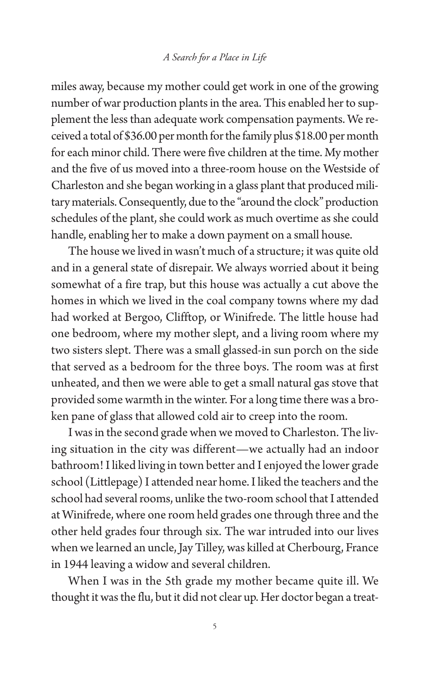### *A Search for a Place in Life*

miles away, because my mother could get work in one of the growing number of war production plants in the area. This enabled her to supplement the less than adequate work compensation payments. We received a total of \$36.00 per month for the family plus \$18.00 per month for each minor child. There were five children at the time. My mother and the five of us moved into a three-room house on the Westside of Charleston and she began working in a glass plant that produced militarymaterials.Consequently, due to the "around the clock" production schedules of the plant, she could work as much overtime as she could handle, enabling her to make a down payment on a small house.

The house we lived in wasn't much of a structure; it was quite old and in a general state of disrepair. We always worried about it being somewhat of a fire trap, but this house was actually a cut above the homes in which we lived in the coal company towns where my dad had worked at Bergoo, Clifftop, or Winifrede. The little house had one bedroom, where my mother slept, and a living room where my two sisters slept. There was a small glassed-in sun porch on the side that served as a bedroom for the three boys. The room was at first unheated, and then we were able to get a small natural gas stove that provided some warmth in the winter. For a long time there was a broken pane of glass that allowed cold air to creep into the room.

I was in the second grade when we moved to Charleston. The living situation in the city was different—we actually had an indoor bathroom!Iliked living in town better and I enjoyed the lower grade school (Littlepage) I attended near home. I liked the teachers and the school had several rooms, unlike the two-room school that I attended at Winifrede, where one room held grades one through three and the other held grades four through six. The war intruded into our lives when we learned an uncle, Jay Tilley, was killed at Cherbourg, France in 1944 leaving a widow and several children.

When I was in the 5th grade my mother became quite ill. We thought it was the flu, but it did not clear up. Her doctor began a treat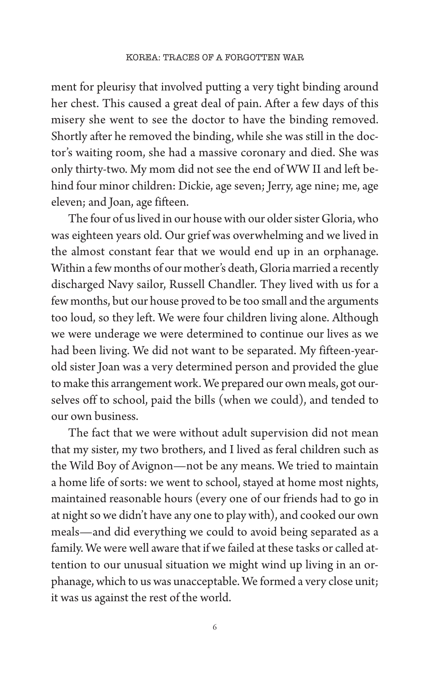ment for pleurisy that involved putting a very tight binding around her chest. This caused a great deal of pain. After a few days of this misery she went to see the doctor to have the binding removed. Shortly after he removed the binding, while she was still in the doctor's waiting room, she had a massive coronary and died. She was only thirty-two. My mom did not see the end of WW II and left behind four minor children: Dickie, age seven; Jerry, age nine; me, age eleven; and Joan, age fifteen.

The four of us lived in our house with our older sister Gloria, who was eighteen years old. Our grief was overwhelming and we lived in the almost constant fear that we would end up in an orphanage. Within a few months of our mother's death, Gloria married a recently discharged Navy sailor, Russell Chandler. They lived with us for a few months, but our house proved to be too small and the arguments too loud, so they left. We were four children living alone. Although we were underage we were determined to continue our lives as we had been living. We did not want to be separated. My fifteen-yearold sister Joan was a very determined person and provided the glue to make this arrangement work. We prepared our own meals, got ourselves off to school, paid the bills (when we could), and tended to our own business.

The fact that we were without adult supervision did not mean that my sister, my two brothers, and I lived as feral children such as the Wild Boy of Avignon—not be any means. We tried to maintain a home life of sorts: we went to school, stayed at home most nights, maintained reasonable hours (every one of our friends had to go in at night so we didn't have any one to play with), and cooked our own meals—and did everything we could to avoid being separated as a family. We were well aware that if we failed at these tasks or called attention to our unusual situation we might wind up living in an orphanage, which to us was unacceptable. We formed a very close unit; it was us against the rest of the world.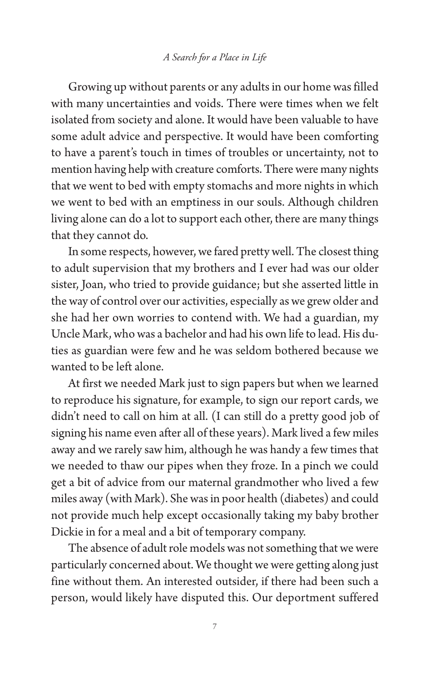### *A Search for a Place in Life*

Growing up without parents or any adults in our home was filled with many uncertainties and voids. There were times when we felt isolated from society and alone. It would have been valuable to have some adult advice and perspective. It would have been comforting to have a parent's touch in times of troubles or uncertainty, not to mention having help with creature comforts. There were many nights that we went to bed with empty stomachs and more nights in which we went to bed with an emptiness in our souls. Although children living alone can do a lot to support each other, there are many things that they cannot do.

In some respects, however, we fared pretty well. The closest thing to adult supervision that my brothers and I ever had was our older sister, Joan, who tried to provide guidance; but she asserted little in the way of control over our activities, especially as we grew older and she had her own worries to contend with. We had a guardian, my Uncle Mark,whowas a bachelor and had his own life to lead. His duties as guardian were few and he was seldom bothered because we wanted to be left alone.

At first we needed Mark just to sign papers but when we learned to reproduce his signature, for example, to sign our report cards, we didn't need to call on him at all. (I can still do a pretty good job of signing his name even after all of these years). Mark lived a few miles away and we rarely saw him, although he was handy a few times that we needed to thaw our pipes when they froze. In a pinch we could get a bit of advice from our maternal grandmother who lived a few miles away (with Mark). Shewasin poor health (diabetes) and could not provide much help except occasionally taking my baby brother Dickie in for a meal and a bit of temporary company.

The absence of adult role models was not something that we were particularly concerned about. We thought we were getting along just fine without them. An interested outsider, if there had been such a person, would likely have disputed this. Our deportment suffered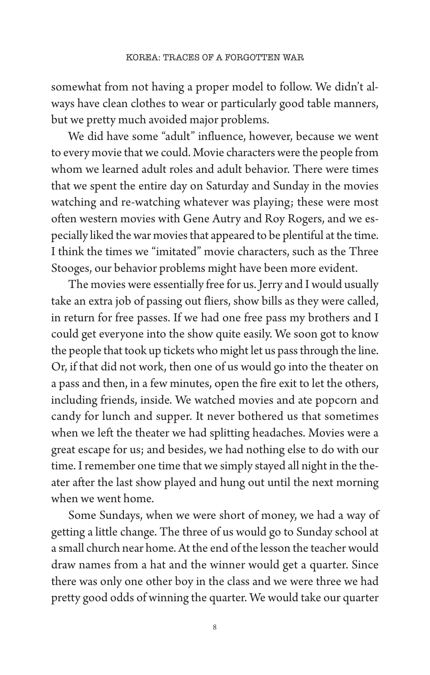somewhat from not having a proper model to follow. We didn't always have clean clothes to wear or particularly good table manners, but we pretty much avoided major problems.

We did have some "adult" influence, however, because we went to every movie that we could. Movie characters were the people from whom we learned adult roles and adult behavior. There were times that we spent the entire day on Saturday and Sunday in the movies watching and re-watching whatever was playing; these were most often western movies with Gene Autry and Roy Rogers, and we especially liked the war movies that appeared to be plentiful at the time. I think the times we "imitated" movie characters, such as the Three Stooges, our behavior problems might have been more evident.

The movies were essentially free for us. Jerry and I would usually take an extra job of passing out fliers, show bills as they were called, in return for free passes. If we had one free pass my brothers and I could get everyone into the show quite easily. We soon got to know the people that took up tickets who might let us pass through the line. Or, if that did not work, then one of us would go into the theater on a pass and then, in a few minutes, open the fire exit to let the others, including friends, inside. We watched movies and ate popcorn and candy for lunch and supper. It never bothered us that sometimes when we left the theater we had splitting headaches. Movies were a great escape for us; and besides, we had nothing else to do with our time. I remember one time that we simply stayed all night in the theater after the last show played and hung out until the next morning when we went home.

Some Sundays, when we were short of money, we had a way of getting a little change. The three of us would go to Sunday school at a small church near home. At the end of the lesson the teacher would draw names from a hat and the winner would get a quarter. Since there was only one other boy in the class and we were three we had pretty good odds of winning the quarter. We would take our quarter